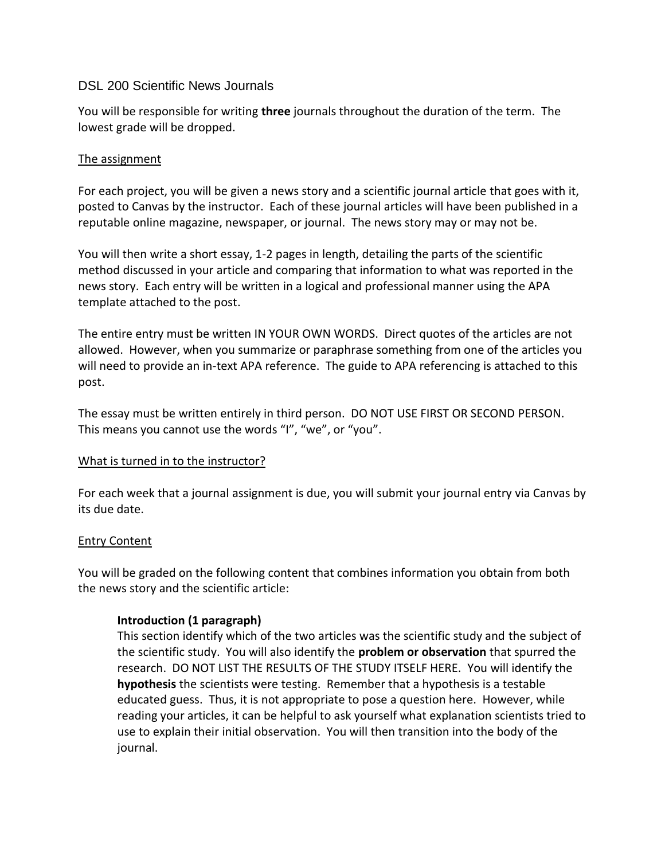### DSL 200 Scientific News Journals

You will be responsible for writing **three** journals throughout the duration of the term. The lowest grade will be dropped.

## The assignment

For each project, you will be given a news story and a scientific journal article that goes with it, posted to Canvas by the instructor. Each of these journal articles will have been published in a reputable online magazine, newspaper, or journal. The news story may or may not be.

You will then write a short essay, 1-2 pages in length, detailing the parts of the scientific method discussed in your article and comparing that information to what was reported in the news story. Each entry will be written in a logical and professional manner using the APA template attached to the post.

The entire entry must be written IN YOUR OWN WORDS. Direct quotes of the articles are not allowed. However, when you summarize or paraphrase something from one of the articles you will need to provide an in-text APA reference. The guide to APA referencing is attached to this post.

The essay must be written entirely in third person. DO NOT USE FIRST OR SECOND PERSON. This means you cannot use the words "I", "we", or "you".

# What is turned in to the instructor?

For each week that a journal assignment is due, you will submit your journal entry via Canvas by its due date.

### Entry Content

You will be graded on the following content that combines information you obtain from both the news story and the scientific article:

# **Introduction (1 paragraph)**

This section identify which of the two articles was the scientific study and the subject of the scientific study. You will also identify the **problem or observation** that spurred the research. DO NOT LIST THE RESULTS OF THE STUDY ITSELF HERE. You will identify the **hypothesis** the scientists were testing. Remember that a hypothesis is a testable educated guess. Thus, it is not appropriate to pose a question here. However, while reading your articles, it can be helpful to ask yourself what explanation scientists tried to use to explain their initial observation. You will then transition into the body of the journal.